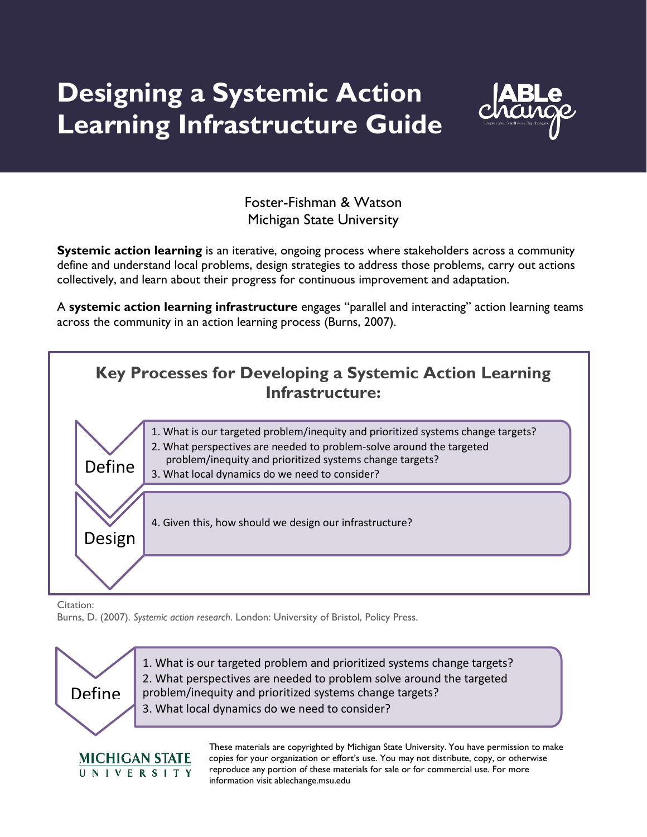# **Designing a Systemic Action Learning Infrastructure Guide**



Foster-Fishman & Watson Michigan State University

**Systemic action learning** is an iterative, ongoing process where stakeholders across a community define and understand local problems, design strategies to address those problems, carry out actions collectively, and learn about their progress for continuous improvement and adaptation.

A **systemic action learning infrastructure** engages "parallel and interacting" action learning teams across the community in an action learning process (Burns, 2007).



Citation:

**MICHIGAN STATE** UNIVERSITY

Burns, D. (2007). *Systemic action research*. London: University of Bristol, Policy Press.



These materials are copyrighted by Michigan State University. You have permission to make copies for your organization or effort's use. You may not distribute, copy, or otherwise reproduce any portion of these materials for sale or for commercial use. For more information visit ablechange.msu.edu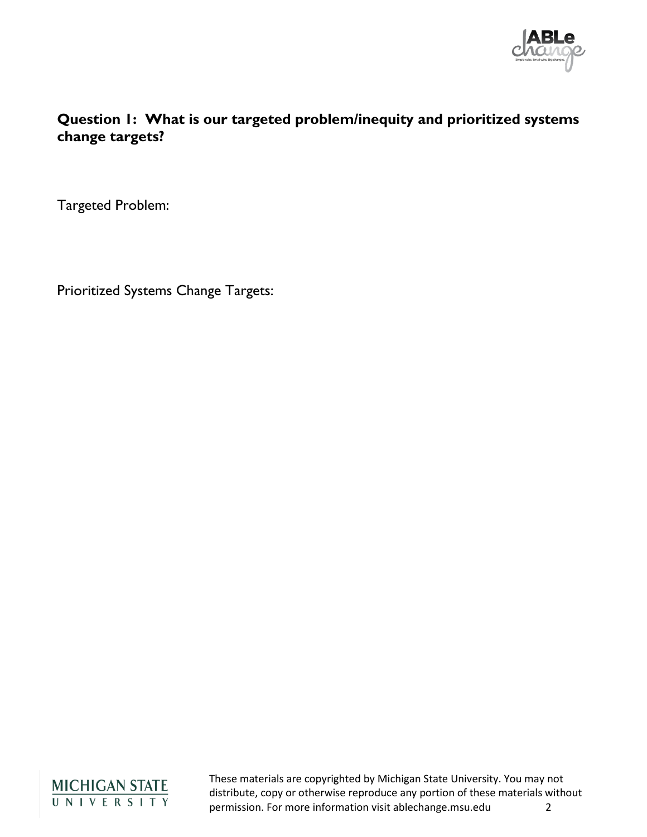

#### **Question 1: What is our targeted problem/inequity and prioritized systems change targets?**

Targeted Problem:

Prioritized Systems Change Targets:

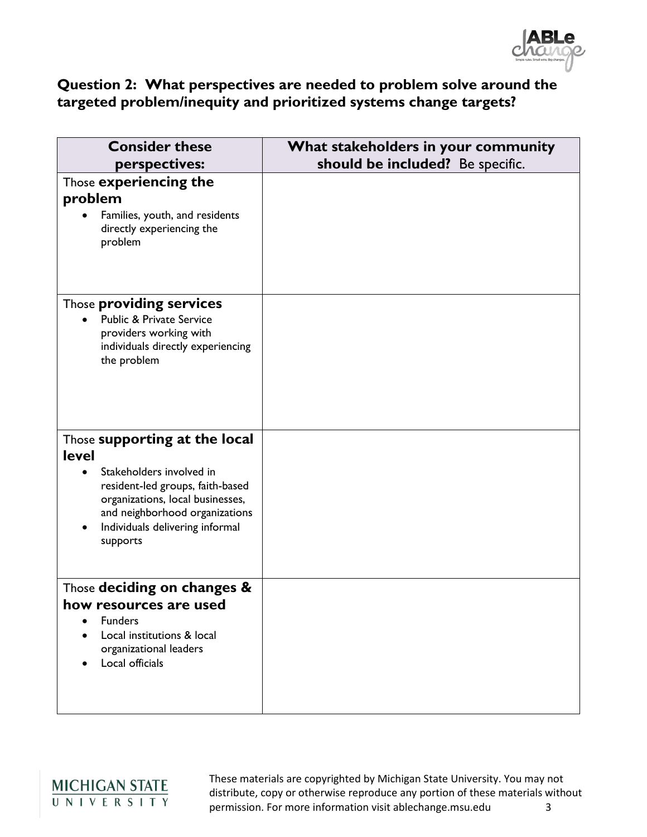

#### **Question 2: What perspectives are needed to problem solve around the targeted problem/inequity and prioritized systems change targets?**

| <b>Consider these</b><br>perspectives:                                                                                                                                                                                             | What stakeholders in your community<br>should be included? Be specific. |
|------------------------------------------------------------------------------------------------------------------------------------------------------------------------------------------------------------------------------------|-------------------------------------------------------------------------|
| Those experiencing the<br>problem<br>Families, youth, and residents<br>directly experiencing the<br>problem                                                                                                                        |                                                                         |
| Those <b>providing services</b><br><b>Public &amp; Private Service</b><br>providers working with<br>individuals directly experiencing<br>the problem                                                                               |                                                                         |
| Those supporting at the local<br><b>level</b><br>Stakeholders involved in<br>resident-led groups, faith-based<br>organizations, local businesses,<br>and neighborhood organizations<br>Individuals delivering informal<br>supports |                                                                         |
| Those deciding on changes &<br>how resources are used<br><b>Funders</b><br>Local institutions & local<br>organizational leaders<br>Local officials                                                                                 |                                                                         |

## MICHIGAN STATE<br>UNIVERSITY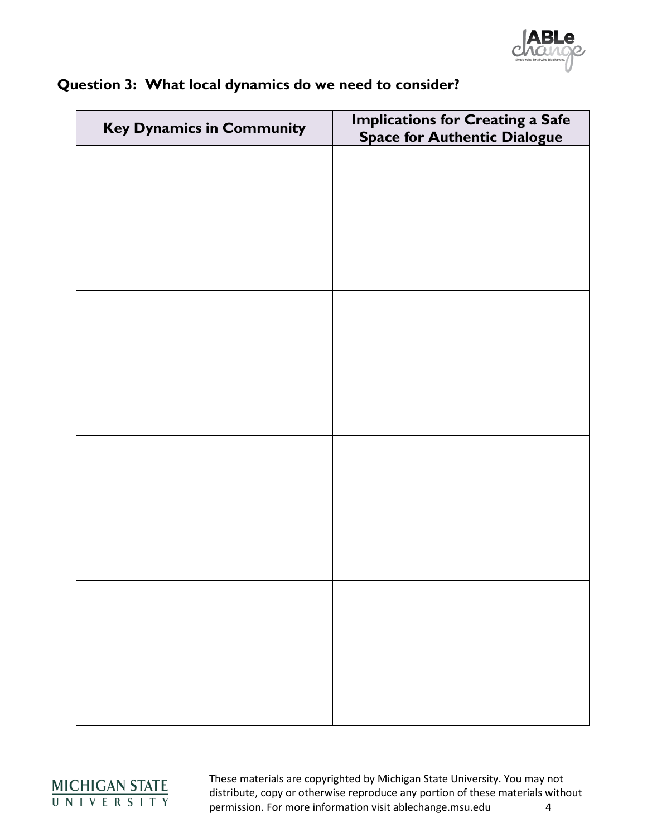| <b>Key Dynamics in Community</b> | <b>Implications for Creating a Safe</b><br><b>Space for Authentic Dialogue</b> |
|----------------------------------|--------------------------------------------------------------------------------|
|                                  |                                                                                |
|                                  |                                                                                |
|                                  |                                                                                |
|                                  |                                                                                |
|                                  |                                                                                |
|                                  |                                                                                |
|                                  |                                                                                |
|                                  |                                                                                |
|                                  |                                                                                |
|                                  |                                                                                |
|                                  |                                                                                |
|                                  |                                                                                |
|                                  |                                                                                |
|                                  |                                                                                |
|                                  |                                                                                |
|                                  |                                                                                |

### **Question 3: What local dynamics do we need to consider?**